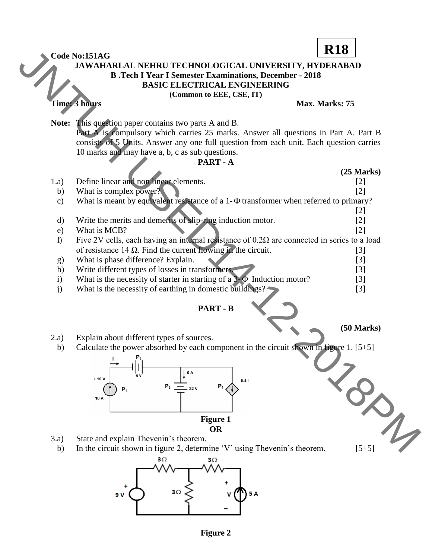**JAWAHARLAL NEHRU TECHNOLOGICAL UNIVERSITY, HYDERABAD B .Tech I Year I Semester Examinations, December - 2018 BASIC ELECTRICAL ENGINEERING (Common to EEE, CSE, IT) Time: 3 hours Max. Marks: 75 Note:** This question paper contains two parts A and B. Part A is compulsory which carries 25 marks. Answer all questions in Part A. Part B consists of 5 Units. Answer any one full question from each unit. Each question carries 10 marks and may have a, b, c as sub questions. **PART - A (25 Marks)** 1.a) Define linear and non linear elements. [2] b) What is complex power? [2] c) What is meant by equivalent resistance of a 1- $\Phi$  transformer when referred to primary? [2] d) Write the merits and demerits of slip-ring induction motor. [2] e) What is MCB?  $[2]$ f) Five 2V cells, each having an internal resistance of  $0.2\Omega$  are connected in series to a load of resistance  $14 \Omega$ . Find the current flowing in the circuit. [3] g) What is phase difference? Explain. [3] h) Write different types of losses in transformers. [3] i) What is the necessity of starter in starting of a 3- $\Phi$  Induction motor? [3] j) What is the necessity of earthing in domestic buildings? [3] **PART - B (50 Marks)** 2.a) Explain about different types of sources. b) Calculate the power absorbed by each component in the circuit shown in figure 1. [5+5] **Figure 1 OR** 3.a) State and explain Thevenin's theorem. b) In the circuit shown in figure 2, determine 'V' using Thevenin's theorem. [5+5] Code Nor.151AG<br> **R18** JAWAHALAI, NEHRU TECHNOLOGICAL UNIVERSITY, HYDERATION<br> **R18** JAWAHALAI, NEHRU TECHNOLOGICAL UNIVERSITY, HYDERATION<br> **REGISTER DESCRIPTION**<br> **REGISTER CONTINUES**<br> **REGISTER CONTINUES**<br> **REGISTER CONTI** 

**Code No:151AG**